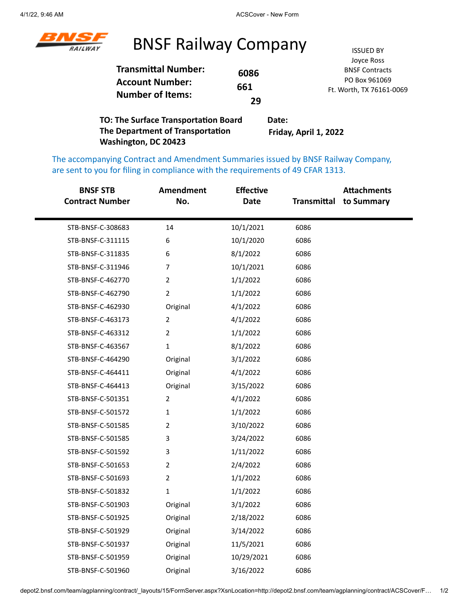

## BNSF Railway Company **ISSUED BY**

|                                                                                 |      | Joyce Ross               |
|---------------------------------------------------------------------------------|------|--------------------------|
| <b>Transmittal Number:</b><br><b>Account Number:</b><br><b>Number of Items:</b> | 6086 | <b>BNSF Contracts</b>    |
|                                                                                 | 661  | PO Box 961069            |
|                                                                                 |      | Ft. Worth, TX 76161-0069 |
|                                                                                 | 29   |                          |
|                                                                                 |      |                          |

**TO: The Surface Transportation Board The Department of Transportation Washington, DC 20423 Date: Friday, April 1, 2022**

The accompanying Contract and Amendment Summaries issued by BNSF Railway Company, are sent to you for filing in compliance with the requirements of 49 CFAR 1313.

| <b>BNSF STB</b><br><b>Contract Number</b> | <b>Amendment</b><br>No. | <b>Effective</b><br><b>Date</b> | Transmittal | <b>Attachments</b><br>to Summary |
|-------------------------------------------|-------------------------|---------------------------------|-------------|----------------------------------|
| STB-BNSF-C-308683                         | 14                      | 10/1/2021                       | 6086        |                                  |
| STB-BNSF-C-311115                         | 6                       | 10/1/2020                       | 6086        |                                  |
| STB-BNSF-C-311835                         | 6                       | 8/1/2022                        | 6086        |                                  |
| STB-BNSF-C-311946                         | $\overline{7}$          | 10/1/2021                       | 6086        |                                  |
| STB-BNSF-C-462770                         | $\overline{2}$          | 1/1/2022                        | 6086        |                                  |
| STB-BNSF-C-462790                         | $\overline{2}$          | 1/1/2022                        | 6086        |                                  |
| STB-BNSF-C-462930                         | Original                | 4/1/2022                        | 6086        |                                  |
| STB-BNSF-C-463173                         | $\overline{2}$          | 4/1/2022                        | 6086        |                                  |
| STB-BNSF-C-463312                         | $\overline{2}$          | 1/1/2022                        | 6086        |                                  |
| STB-BNSF-C-463567                         | $\mathbf 1$             | 8/1/2022                        | 6086        |                                  |
| STB-BNSF-C-464290                         | Original                | 3/1/2022                        | 6086        |                                  |
| STB-BNSF-C-464411                         | Original                | 4/1/2022                        | 6086        |                                  |
| STB-BNSF-C-464413                         | Original                | 3/15/2022                       | 6086        |                                  |
| STB-BNSF-C-501351                         | $\overline{2}$          | 4/1/2022                        | 6086        |                                  |
| STB-BNSF-C-501572                         | 1                       | 1/1/2022                        | 6086        |                                  |
| STB-BNSF-C-501585                         | $\overline{2}$          | 3/10/2022                       | 6086        |                                  |
| STB-BNSF-C-501585                         | 3                       | 3/24/2022                       | 6086        |                                  |
| STB-BNSF-C-501592                         | 3                       | 1/11/2022                       | 6086        |                                  |
| STB-BNSF-C-501653                         | $\overline{2}$          | 2/4/2022                        | 6086        |                                  |
| STB-BNSF-C-501693                         | $\overline{2}$          | 1/1/2022                        | 6086        |                                  |
| STB-BNSF-C-501832                         | $\mathbf 1$             | 1/1/2022                        | 6086        |                                  |
| STB-BNSF-C-501903                         | Original                | 3/1/2022                        | 6086        |                                  |
| STB-BNSF-C-501925                         | Original                | 2/18/2022                       | 6086        |                                  |
| STB-BNSF-C-501929                         | Original                | 3/14/2022                       | 6086        |                                  |
| STB-BNSF-C-501937                         | Original                | 11/5/2021                       | 6086        |                                  |
| STB-BNSF-C-501959                         | Original                | 10/29/2021                      | 6086        |                                  |
| STB-BNSF-C-501960                         | Original                | 3/16/2022                       | 6086        |                                  |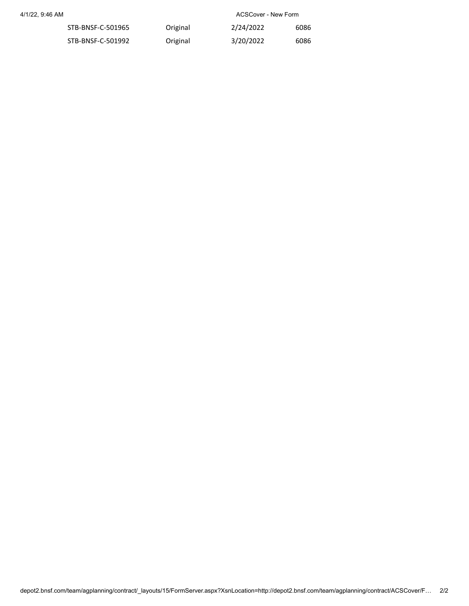4/1/22, 9:46 AM ACSCover - New Form

| STB-BNSF-C-501965 | Original | 2/24/2022 | 6086 |
|-------------------|----------|-----------|------|
| STB-BNSF-C-501992 | Original | 3/20/2022 | 6086 |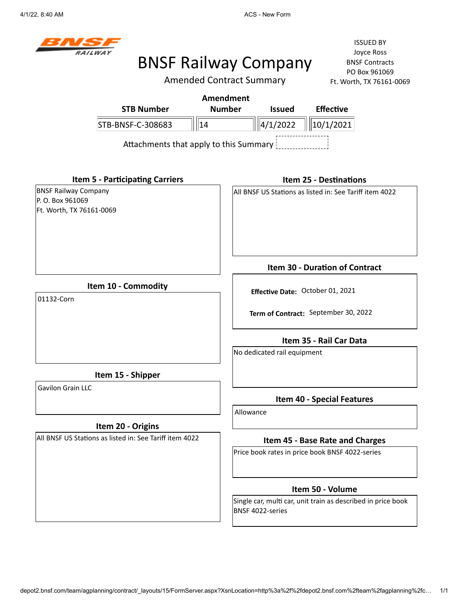4/1/22, 8:40 AM **ACS** - New Form



## BNSF Railway Company

Amended Contract Summary

ISSUED BY Joyce Ross BNSF Contracts PO Box 961069 Ft. Worth, TX 76161-0069

| <b>STB Number</b>                      | Amendment<br><b>Number</b> | <b>Issued</b>  | <b>Effective</b>      |
|----------------------------------------|----------------------------|----------------|-----------------------|
| STB-BNSF-C-308683                      | 14                         | $\ 4/1/2022\ $ | 10/1/2021             |
| Attachments that apply to this Summary |                            |                |                       |
| <b>Item 5 - Participating Carriers</b> |                            |                | Item 25 - Destination |

BNSF Railway Company P. O. Box 961069 Ft. Worth, TX 76161-0069

### **Item 25 - Destinations**

All BNSF US Stations as listed in: See Tariff item 4022

**Item 10 - Commodity**

01132-Corn

**Term of Contract:** September 30, 2022

**Effective Date:** October 01, 2021

**Item 35 - Rail Car Data**

**Item 30 - Duration of Contract**

No dedicated rail equipment

**Item 15 - Shipper**

Gavilon Grain LLC

## **Item 20 - Origins**

All BNSF US Stations as listed in: See Tariff item 4022

**Item 40 - Special Features**

Allowance

### **Item 45 - Base Rate and Charges**

Price book rates in price book BNSF 4022-series

### **Item 50 - Volume**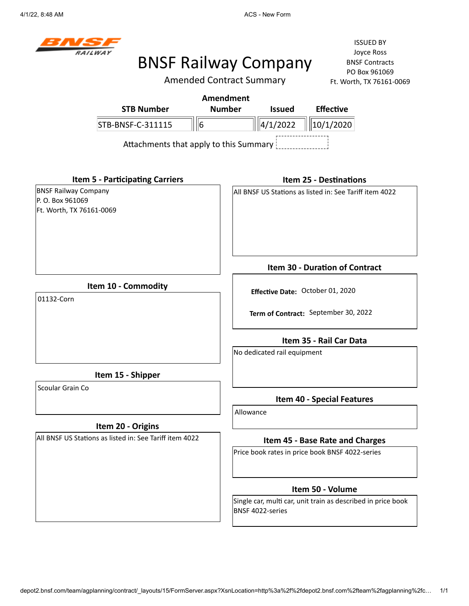4/1/22, 8:48 AM **ACS** - New Form



# BNSF Railway Company

Amended Contract Summary

ISSUED BY Joyce Ross BNSF Contracts PO Box 961069  $51 - 0069$ 

|                                                                             | <b>Amended Contract Summary</b>        |                             | Ft. Worth, TX 76161-0                                   |
|-----------------------------------------------------------------------------|----------------------------------------|-----------------------------|---------------------------------------------------------|
|                                                                             | <b>Amendment</b>                       |                             |                                                         |
| <b>STB Number</b>                                                           | <b>Number</b>                          | <b>Issued</b>               | <b>Effective</b>                                        |
| STB-BNSF-C-311115                                                           | $\ 6$                                  | 4/1/2022                    | 10/1/2020                                               |
|                                                                             | Attachments that apply to this Summary |                             |                                                         |
| <b>Item 5 - Participating Carriers</b>                                      |                                        |                             | <b>Item 25 - Destinations</b>                           |
| <b>BNSF Railway Company</b><br>P. O. Box 961069<br>Ft. Worth, TX 76161-0069 |                                        |                             | All BNSF US Stations as listed in: See Tariff item 4022 |
|                                                                             |                                        |                             | <b>Item 30 - Duration of Contract</b>                   |
| Item 10 - Commodity<br>01132-Corn                                           |                                        |                             | Effective Date: October 01, 2020                        |
|                                                                             |                                        |                             | Term of Contract: September 30, 2022                    |
|                                                                             |                                        |                             | Item 35 - Rail Car Data                                 |
|                                                                             |                                        | No dedicated rail equipment |                                                         |
| Item 15 - Shipper                                                           |                                        |                             |                                                         |
| Scoular Grain Co                                                            |                                        |                             | <b>Item 40 - Special Features</b>                       |
|                                                                             |                                        | Allowance                   |                                                         |
| Item 20 - Origins                                                           |                                        |                             |                                                         |
| All BNSF US Stations as listed in: See Tariff item 4022                     |                                        |                             | Item 45 - Base Rate and Charges                         |
|                                                                             |                                        |                             | Price book rates in price book BNSF 4022-series         |
|                                                                             |                                        |                             | Item 50 - Volume                                        |
|                                                                             |                                        |                             |                                                         |

Single car, multi car, unit train as described in price book BNSF 4022-series

depot2.bnsf.com/team/agplanning/contract/\_layouts/15/FormServer.aspx?XsnLocation=http%3a%2f%2fdepot2.bnsf.com%2fteam%2fagplanning%2fc… 1/1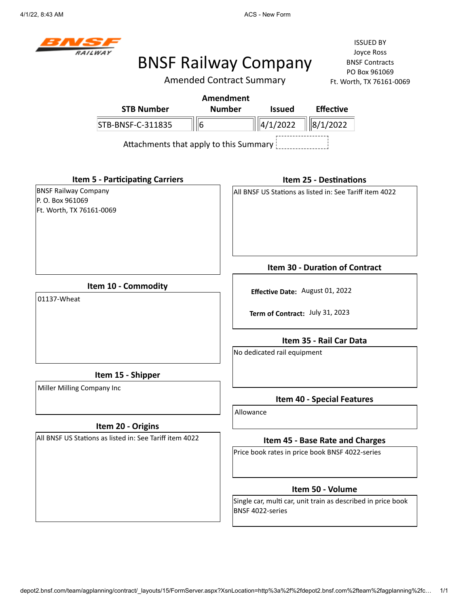4/1/22, 8:43 AM **ACS** - New Form



# BNSF Railway Company

Amended Contract Summary

ISSUED BY Joyce Ross BNSF Contracts PO Box 961069 Ft. Worth, TX 76161-0069

|                                                                              | Amendment                                                |  |
|------------------------------------------------------------------------------|----------------------------------------------------------|--|
| <b>STB Number</b>                                                            | <b>Effective</b><br><b>Number</b><br><b>Issued</b>       |  |
| STB-BNSF-C-311835<br>16                                                      | 4/1/2022<br>8/1/2022                                     |  |
| Attachments that apply to this Summary                                       |                                                          |  |
| <b>Item 5 - Participating Carriers</b>                                       | <b>Item 25 - Destinations</b>                            |  |
| <b>BNSF Railway Company</b><br>IP. O. Box 961069<br>Ft. Worth, TX 76161-0069 | IAII BNSF US Stations as listed in: See Tariff item 4022 |  |

**Item 10 - Commodity**

01137-Wheat

**Item 15 - Shipper**

Miller Milling Company Inc

## **Item 20 - Origins**

All BNSF US Stations as listed in: See Tariff item 4022

**Item 30 - Duration of Contract**

**Effective Date:** August 01, 2022

**Term of Contract:** July 31, 2023

**Item 35 - Rail Car Data**

No dedicated rail equipment

**Item 40 - Special Features**

Allowance

### **Item 45 - Base Rate and Charges**

Price book rates in price book BNSF 4022-series

### **Item 50 - Volume**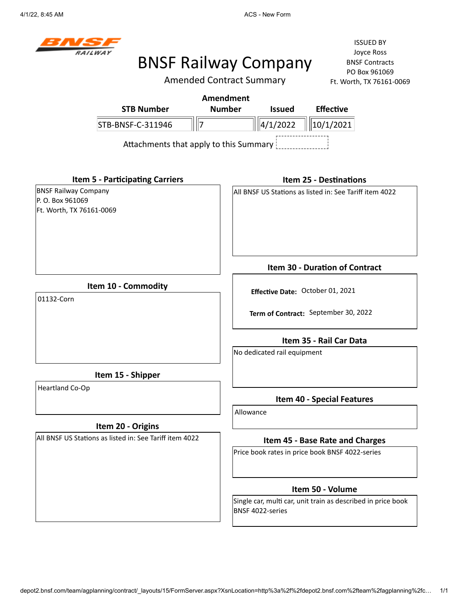4/1/22, 8:45 AM ACS - New Form



## BNSF Railway Company

Amended Contract Summary

ISSUED BY Joyce Ross BNSF Contracts PO Box 961069 51-0069

|                                                                             | <b>Amended Contract Summary</b><br>Ft. Worth, TX 76161-0 |
|-----------------------------------------------------------------------------|----------------------------------------------------------|
|                                                                             | <b>Amendment</b>                                         |
| <b>STB Number</b>                                                           | <b>Number</b><br><b>Effective</b><br><b>Issued</b>       |
| STB-BNSF-C-311946<br>$\parallel$ 7                                          | $\ 4/1/2022$<br>$\ 10/1/2021$                            |
|                                                                             |                                                          |
| <b>Item 5 - Participating Carriers</b>                                      | <b>Item 25 - Destinations</b>                            |
| <b>BNSF Railway Company</b><br>P. O. Box 961069<br>Ft. Worth, TX 76161-0069 | All BNSF US Stations as listed in: See Tariff item 4022  |
|                                                                             | Item 30 - Duration of Contract                           |
| Item 10 - Commodity<br>01132-Corn                                           | Effective Date: October 01, 2021                         |
|                                                                             | Term of Contract: September 30, 2022                     |
|                                                                             | Item 35 - Rail Car Data                                  |
|                                                                             | No dedicated rail equipment                              |
| Item 15 - Shipper                                                           |                                                          |
| Heartland Co-Op                                                             | <b>Item 40 - Special Features</b>                        |
|                                                                             | Allowance                                                |
| Item 20 - Origins                                                           |                                                          |
| All BNSF US Stations as listed in: See Tariff item 4022                     | Item 45 - Base Rate and Charges                          |
|                                                                             | Price book rates in price book BNSF 4022-series          |
|                                                                             | Item 50 - Volume                                         |

Single car, multi car, unit train as described in price book BNSF 4022-series

depot2.bnsf.com/team/agplanning/contract/\_layouts/15/FormServer.aspx?XsnLocation=http%3a%2f%2fdepot2.bnsf.com%2fteam%2fagplanning%2fc… 1/1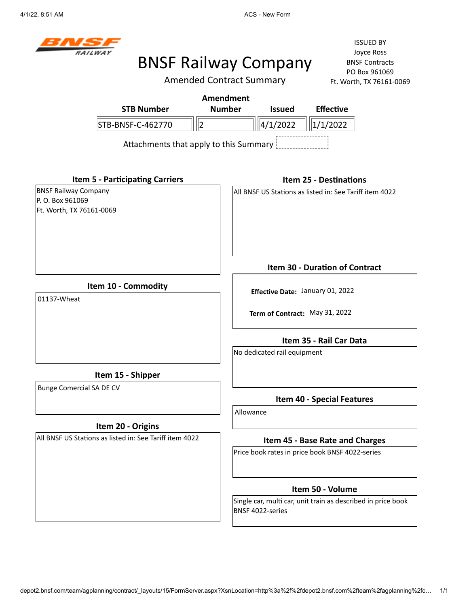4/1/22, 8:51 AM **ACS** - New Form



# BNSF Railway Company

Amended Contract Summary

ISSUED BY Joyce Ross BNSF Contracts PO Box 961069 Ft. Worth, TX 76161-0069

| Amendment                              |               |                 |                  |  |  |  |
|----------------------------------------|---------------|-----------------|------------------|--|--|--|
| <b>STB Number</b>                      | <b>Number</b> | <b>Issued</b>   | <b>Effective</b> |  |  |  |
| STB-BNSF-C-462770                      |               | $\ \ $ 4/1/2022 | $\ \ 1/1/2022\ $ |  |  |  |
| Attachments that apply to this Summary |               |                 |                  |  |  |  |

**Item 5 - Participating Carriers**

BNSF Railway Company P. O. Box 961069 Ft. Worth, TX 76161-0069

#### **Item 25 - Destinations**

All BNSF US Stations as listed in: See Tariff item 4022

**Item 10 - Commodity**

01137-Wheat

**Item 15 - Shipper**

Bunge Comercial SA DE CV

### **Item 20 - Origins**

All BNSF US Stations as listed in: See Tariff item 4022

**Item 30 - Duration of Contract**

**Effective Date:** January 01, 2022

**Term of Contract:** May 31, 2022

**Item 35 - Rail Car Data**

No dedicated rail equipment

**Item 40 - Special Features**

Allowance

### **Item 45 - Base Rate and Charges**

Price book rates in price book BNSF 4022-series

### **Item 50 - Volume**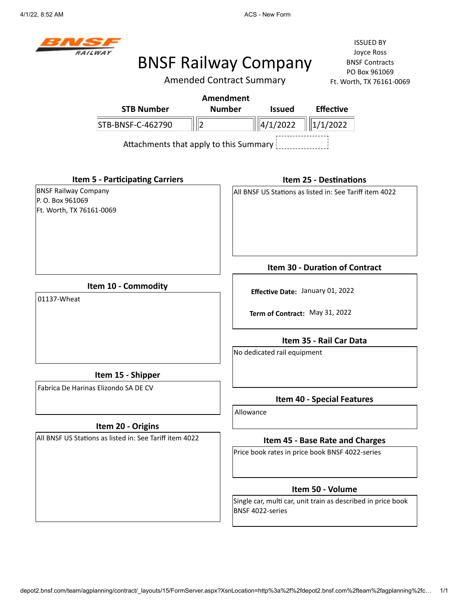4/1/22, 8:52 AM **ACS** - New Form



## BNSF Railway Company

Amended Contract Summary

ISSUED BY Joyce Ross BNSF Contracts PO Box 961069 Ft. Worth, TX 76161-0069

| Amendment                              |               |                                  |                  |  |  |
|----------------------------------------|---------------|----------------------------------|------------------|--|--|
| <b>STB Number</b>                      | <b>Number</b> | <b>Issued</b>                    | <b>Effective</b> |  |  |
| STB-BNSF-C-462790                      |               | $\  \ 4/1/2022 \  \ 1/1/2022 \ $ |                  |  |  |
| Attachments that apply to this Summary |               |                                  |                  |  |  |

**Item 5 - Participating Carriers**

BNSF Railway Company P. O. Box 961069 Ft. Worth, TX 76161-0069

### **Item 25 - Destinations**

**Item 30 - Duration of Contract**

**Effective Date:** January 01, 2022

**Term of Contract:** May 31, 2022

All BNSF US Stations as listed in: See Tariff item 4022

**Item 10 - Commodity**

01137-Wheat

No dedicated rail equipment

**Item 15 - Shipper**

Fabrica De Harinas Elizondo SA DE CV

### **Item 20 - Origins**

All BNSF US Stations as listed in: See Tariff item 4022

**Item 40 - Special Features**

**Item 35 - Rail Car Data**

Allowance

### **Item 45 - Base Rate and Charges**

Price book rates in price book BNSF 4022-series

### **Item 50 - Volume**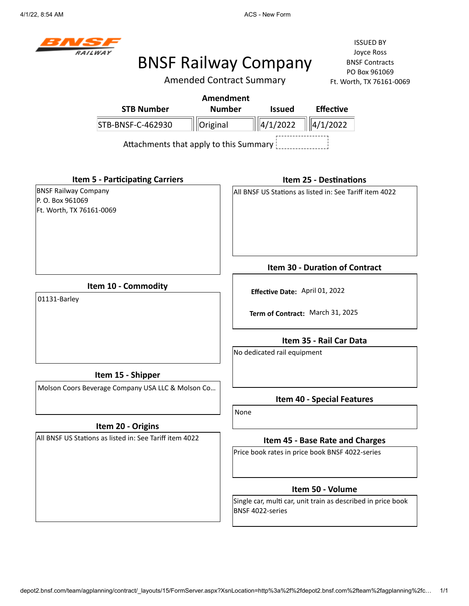4/1/22, 8:54 AM ACS - New Form



# BNSF Railway Company

Amended Contract Summary

|                                                                             | <b>STB Number</b>                                       | <b>Amendment</b><br><b>Number</b> | <b>Issued</b>                                                                    | <b>Effective</b>                                                   |  |
|-----------------------------------------------------------------------------|---------------------------------------------------------|-----------------------------------|----------------------------------------------------------------------------------|--------------------------------------------------------------------|--|
|                                                                             | STB-BNSF-C-462930                                       | Original                          | 4/1/2022                                                                         | 4/1/2022                                                           |  |
|                                                                             | Attachments that apply to this Summary                  |                                   |                                                                                  |                                                                    |  |
|                                                                             | <b>Item 5 - Participating Carriers</b>                  |                                   |                                                                                  | <b>Item 25 - Destinations</b>                                      |  |
| <b>BNSF Railway Company</b><br>P. O. Box 961069<br>Ft. Worth, TX 76161-0069 |                                                         |                                   | All BNSF US Stations as listed in: See Tariff item 4022                          |                                                                    |  |
|                                                                             |                                                         |                                   |                                                                                  | Item 30 - Duration of Contract                                     |  |
| Item 10 - Commodity<br>01131-Barley                                         |                                                         |                                   |                                                                                  | Effective Date: April 01, 2022<br>Term of Contract: March 31, 2025 |  |
|                                                                             |                                                         |                                   | No dedicated rail equipment                                                      | Item 35 - Rail Car Data                                            |  |
|                                                                             | Item 15 - Shipper                                       |                                   |                                                                                  |                                                                    |  |
|                                                                             | Molson Coors Beverage Company USA LLC & Molson Co       |                                   |                                                                                  | <b>Item 40 - Special Features</b>                                  |  |
|                                                                             | Item 20 - Origins                                       |                                   | None                                                                             |                                                                    |  |
|                                                                             | All BNSF US Stations as listed in: See Tariff item 4022 |                                   |                                                                                  | Item 45 - Base Rate and Charges                                    |  |
|                                                                             |                                                         |                                   | Price book rates in price book BNSF 4022-series                                  |                                                                    |  |
|                                                                             |                                                         |                                   |                                                                                  | Item 50 - Volume                                                   |  |
|                                                                             |                                                         |                                   | Single car, multi car, unit train as described in price book<br>BNSF 4022-series |                                                                    |  |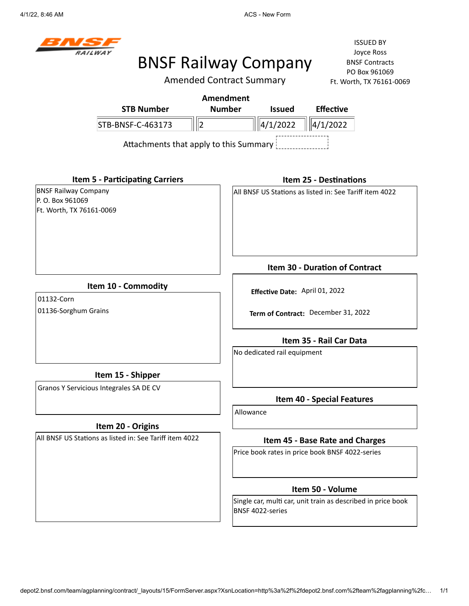4/1/22, 8:46 AM **ACS** - New Form



# BNSF Railway Company

Amended Contract Summary

ISSUED BY Joyce Ross BNSF Contracts PO Box 961069 Ft. Worth, TX 76161-0069

|                                        | Amendment     |                 |                  |  |  |
|----------------------------------------|---------------|-----------------|------------------|--|--|
| <b>STB Number</b>                      | <b>Number</b> | <b>Issued</b>   | <b>Effective</b> |  |  |
| STB-BNSF-C-463173                      |               | $\ \ $ 4/1/2022 | $\ \ 4/1/2022\ $ |  |  |
| Attachments that apply to this Summary |               |                 |                  |  |  |

**Item 5 - Participating Carriers**

BNSF Railway Company P. O. Box 961069 Ft. Worth, TX 76161-0069

### **Item 25 - Destinations**

All BNSF US Stations as listed in: See Tariff item 4022

**Item 10 - Commodity**

01132-Corn 01136-Sorghum Grains

**Item 15 - Shipper**

Granos Y Servicious Integrales SA DE CV

### **Item 20 - Origins**

All BNSF US Stations as listed in: See Tariff item 4022

**Item 30 - Duration of Contract**

**Effective Date:** April 01, 2022

**Term of Contract:** December 31, 2022

**Item 35 - Rail Car Data**

No dedicated rail equipment

## **Item 40 - Special Features**

Allowance

### **Item 45 - Base Rate and Charges**

Price book rates in price book BNSF 4022-series

### **Item 50 - Volume**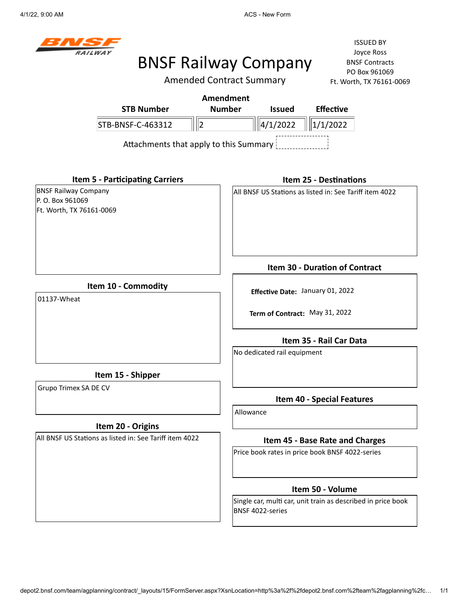4/1/22, 9:00 AM **ACS** - New Form



## BNSF Railway Company

Amended Contract Summary

ISSUED BY Joyce Ross BNSF Contracts PO Box 961069 Ft. Worth, TX 76161-0069

| <b>STB Number</b>                      | Amendment<br><b>Number</b> | <b>Issued</b> | <b>Effective</b>              |  |
|----------------------------------------|----------------------------|---------------|-------------------------------|--|
| STB-BNSF-C-463312                      |                            | 4/1/2022      | 1/1/2022                      |  |
| Attachments that apply to this Summary |                            |               |                               |  |
| <b>Item 5 - Participating Carriers</b> |                            |               | <b>Item 25 - Destinations</b> |  |

All BNSF US Stations as listed in: See Tariff item 4022

**Item 10 - Commodity**

01137-Wheat

BNSF Railway Company P. O. Box 961069

Ft. Worth, TX 76161-0069

**Term of Contract:** May 31, 2022

**Effective Date:** January 01, 2022

**Item 35 - Rail Car Data**

**Item 30 - Duration of Contract**

No dedicated rail equipment

**Item 15 - Shipper**

Grupo Trimex SA DE CV

## **Item 20 - Origins**

All BNSF US Stations as listed in: See Tariff item 4022

**Item 40 - Special Features**

Allowance

### **Item 45 - Base Rate and Charges**

Price book rates in price book BNSF 4022-series

### **Item 50 - Volume**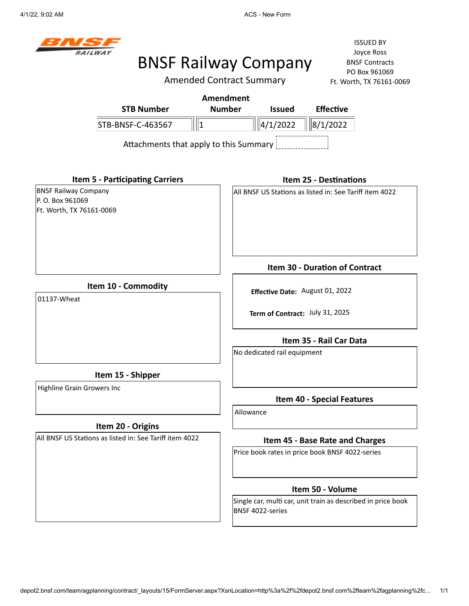4/1/22, 9:02 AM **ACS** - New Form



## BNSF Railway Company

Amended Contract Summary

ISSUED BY Joyce Ross BNSF Contracts PO Box 961069 Ft. Worth, TX 76161-0069

|                                        | Amendment     |                             |                  |
|----------------------------------------|---------------|-----------------------------|------------------|
| <b>STB Number</b>                      | <b>Number</b> | <b>Issued</b>               | <b>Effective</b> |
| STB-BNSF-C-463567                      |               | $\ $   4/1/2022    8/1/2022 |                  |
| Attachments that apply to this Summary |               |                             |                  |

**Item 5 - Participating Carriers** BNSF Railway Company P. O. Box 961069 Ft. Worth, TX 76161-0069 **Item 10 - Commodity Item 15 - Shipper Item 20 - Origins** All BNSF US Stations as listed in: See Tariff item 4022 **Item 25 - Destinations** All BNSF US Stations as listed in: See Tariff item 4022 **Item 30 - Duration of Contract Effective Date:** August 01, 2022 **Term of Contract:** July 31, 2025 **Item 35 - Rail Car Data** No dedicated rail equipment **Item 40 - Special Features Item 45 - Base Rate and Charges** Price book rates in price book BNSF 4022-series 01137-Wheat Highline Grain Growers Inc Allowance

### **Item 50 - Volume**

Single car, multi car, unit train as described in price book BNSF 4022-series

depot2.bnsf.com/team/agplanning/contract/\_layouts/15/FormServer.aspx?XsnLocation=http%3a%2f%2fdepot2.bnsf.com%2fteam%2fagplanning%2fc… 1/1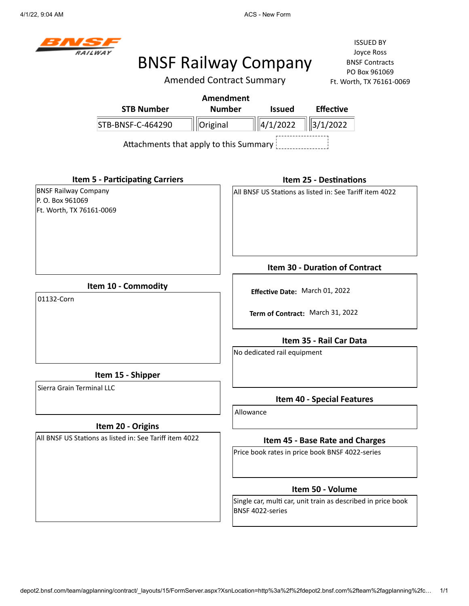4/1/22, 9:04 AM **ACS** - New Form



## BNSF Railway Company

Amended Contract Summary

ISSUED BY Joyce Ross BNSF Contracts PO Box 961069 Ft. Worth, TX 76161-0069

|                                                                             |                                        | <b>Amendment</b> |           |                                |                                                         |                                                              |
|-----------------------------------------------------------------------------|----------------------------------------|------------------|-----------|--------------------------------|---------------------------------------------------------|--------------------------------------------------------------|
|                                                                             | <b>STB Number</b>                      | <b>Number</b>    |           | <b>Issued</b>                  | <b>Effective</b>                                        |                                                              |
| STB-BNSF-C-464290                                                           |                                        | Original         |           | 4/1/2022                       | 3/1/2022                                                |                                                              |
|                                                                             | Attachments that apply to this Summary |                  |           |                                |                                                         |                                                              |
| <b>Item 5 - Participating Carriers</b>                                      |                                        |                  |           |                                | <b>Item 25 - Destinations</b>                           |                                                              |
| <b>BNSF Railway Company</b><br>P. O. Box 961069<br>Ft. Worth, TX 76161-0069 |                                        |                  |           |                                | All BNSF US Stations as listed in: See Tariff item 4022 |                                                              |
|                                                                             |                                        |                  |           |                                | <b>Item 30 - Duration of Contract</b>                   |                                                              |
| Item 10 - Commodity<br>01132-Corn                                           |                                        |                  |           | Effective Date: March 01, 2022 |                                                         |                                                              |
|                                                                             |                                        |                  |           |                                | Term of Contract: March 31, 2022                        |                                                              |
|                                                                             |                                        |                  |           |                                | Item 35 - Rail Car Data                                 |                                                              |
|                                                                             |                                        |                  |           | No dedicated rail equipment    |                                                         |                                                              |
| Item 15 - Shipper                                                           |                                        |                  |           |                                |                                                         |                                                              |
| Sierra Grain Terminal LLC                                                   |                                        |                  |           |                                | <b>Item 40 - Special Features</b>                       |                                                              |
|                                                                             |                                        |                  | Allowance |                                |                                                         |                                                              |
| Item 20 - Origins                                                           |                                        |                  |           |                                |                                                         |                                                              |
| All BNSF US Stations as listed in: See Tariff item 4022                     |                                        |                  |           |                                | Item 45 - Base Rate and Charges                         |                                                              |
|                                                                             |                                        |                  |           |                                | Price book rates in price book BNSF 4022-series         |                                                              |
|                                                                             |                                        |                  |           |                                | Item 50 - Volume                                        |                                                              |
|                                                                             |                                        |                  |           | BNSF 4022-series               |                                                         | Single car, multi car, unit train as described in price book |

depot2.bnsf.com/team/agplanning/contract/\_layouts/15/FormServer.aspx?XsnLocation=http%3a%2f%2fdepot2.bnsf.com%2fteam%2fagplanning%2fc… 1/1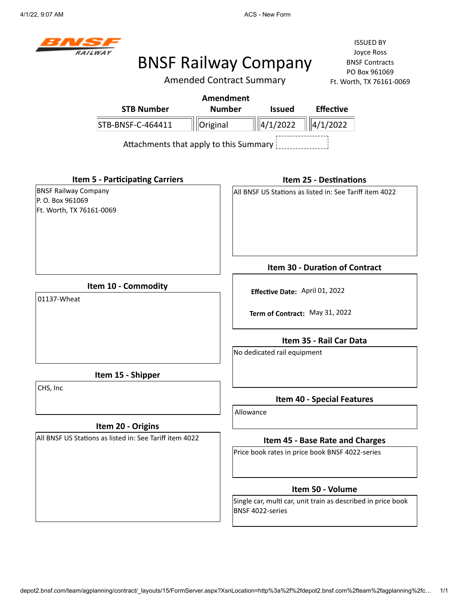4/1/22, 9:07 AM **ACS - New Form** ACS - New Form



# BNSF Railway Company

Amended Contract Summary

|                                                                             |                                        | <b>Amendment</b> |           |                                |                                                              |  |
|-----------------------------------------------------------------------------|----------------------------------------|------------------|-----------|--------------------------------|--------------------------------------------------------------|--|
|                                                                             | <b>STB Number</b>                      | <b>Number</b>    |           | <b>Issued</b>                  | <b>Effective</b>                                             |  |
|                                                                             | STB-BNSF-C-464411                      | Original         |           | 4/1/2022                       | 4/1/2022                                                     |  |
|                                                                             | Attachments that apply to this Summary |                  |           |                                |                                                              |  |
|                                                                             | <b>Item 5 - Participating Carriers</b> |                  |           |                                | <b>Item 25 - Destinations</b>                                |  |
| <b>BNSF Railway Company</b><br>P. O. Box 961069<br>Ft. Worth, TX 76161-0069 |                                        |                  |           |                                | All BNSF US Stations as listed in: See Tariff item 4022      |  |
|                                                                             |                                        |                  |           |                                | Item 30 - Duration of Contract                               |  |
| 01137-Wheat                                                                 | Item 10 - Commodity                    |                  |           | Effective Date: April 01, 2022 | Term of Contract: May 31, 2022                               |  |
|                                                                             |                                        |                  |           | No dedicated rail equipment    | Item 35 - Rail Car Data                                      |  |
|                                                                             | Item 15 - Shipper                      |                  |           |                                |                                                              |  |
| CHS, Inc                                                                    |                                        |                  |           |                                | <b>Item 40 - Special Features</b>                            |  |
|                                                                             |                                        |                  | Allowance |                                |                                                              |  |
| All BNSF US Stations as listed in: See Tariff item 4022                     | Item 20 - Origins                      |                  |           |                                | Item 45 - Base Rate and Charges                              |  |
|                                                                             |                                        |                  |           |                                | Price book rates in price book BNSF 4022-series              |  |
|                                                                             |                                        |                  |           |                                | Item 50 - Volume                                             |  |
|                                                                             |                                        |                  |           | BNSF 4022-series               | Single car, multi car, unit train as described in price book |  |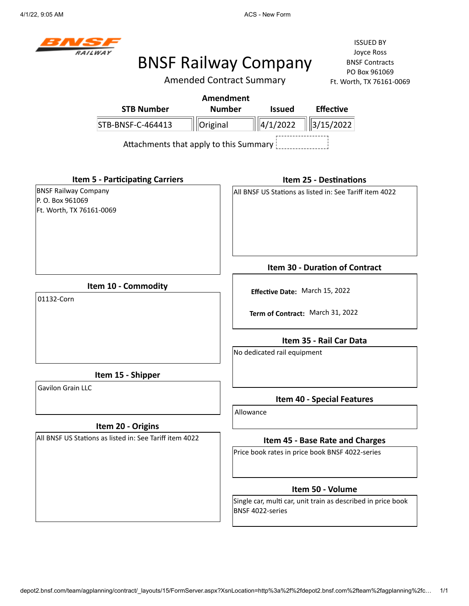4/1/22, 9:05 AM **ACS - New Form** ACS - New Form



# BNSF Railway Company

Amended Contract Summary

|                                                                             |                                                         | <b>Amendment</b> |           |                             |                                                              |  |
|-----------------------------------------------------------------------------|---------------------------------------------------------|------------------|-----------|-----------------------------|--------------------------------------------------------------|--|
|                                                                             | <b>STB Number</b>                                       | <b>Number</b>    |           | <b>Issued</b>               | <b>Effective</b>                                             |  |
|                                                                             | STB-BNSF-C-464413                                       | Original         |           | 4/1/2022                    | 3/15/2022                                                    |  |
|                                                                             | Attachments that apply to this Summary                  |                  |           |                             |                                                              |  |
|                                                                             | <b>Item 5 - Participating Carriers</b>                  |                  |           |                             | <b>Item 25 - Destinations</b>                                |  |
| <b>BNSF Railway Company</b><br>P. O. Box 961069<br>Ft. Worth, TX 76161-0069 |                                                         |                  |           |                             | All BNSF US Stations as listed in: See Tariff item 4022      |  |
|                                                                             |                                                         |                  |           |                             | Item 30 - Duration of Contract                               |  |
| 01132-Corn                                                                  | Item 10 - Commodity                                     |                  |           |                             | Effective Date: March 15, 2022                               |  |
|                                                                             |                                                         |                  |           |                             | Term of Contract: March 31, 2022                             |  |
|                                                                             |                                                         |                  |           |                             | Item 35 - Rail Car Data                                      |  |
|                                                                             |                                                         |                  |           | No dedicated rail equipment |                                                              |  |
|                                                                             | Item 15 - Shipper                                       |                  |           |                             |                                                              |  |
| <b>Gavilon Grain LLC</b>                                                    |                                                         |                  |           |                             | <b>Item 40 - Special Features</b>                            |  |
|                                                                             |                                                         |                  | Allowance |                             |                                                              |  |
|                                                                             | Item 20 - Origins                                       |                  |           |                             |                                                              |  |
|                                                                             | All BNSF US Stations as listed in: See Tariff item 4022 |                  |           |                             | Item 45 - Base Rate and Charges                              |  |
|                                                                             |                                                         |                  |           |                             | Price book rates in price book BNSF 4022-series              |  |
|                                                                             |                                                         |                  |           |                             | Item 50 - Volume                                             |  |
|                                                                             |                                                         |                  |           | BNSF 4022-series            | Single car, multi car, unit train as described in price book |  |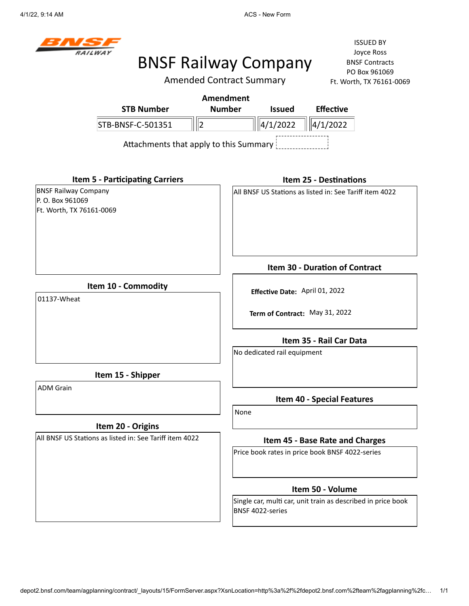4/1/22, 9:14 AM **ACS** - New Form



# BNSF Railway Company

ISSUED BY Joyce Ross BNSF Contracts PO Box 961069  $-0069$ 

|                                                                            |                                        | <b>Amended Contract Summary</b> |                                                              | Ft. Worth, TX 76161-0069 |  |
|----------------------------------------------------------------------------|----------------------------------------|---------------------------------|--------------------------------------------------------------|--------------------------|--|
|                                                                            | Amendment                              |                                 |                                                              |                          |  |
| <b>STB Number</b>                                                          | <b>Number</b>                          | <b>Issued</b>                   | <b>Effective</b>                                             |                          |  |
| STB-BNSF-C-501351                                                          | $\vert$ 2                              | 4/1/2022                        | 4/1/2022                                                     |                          |  |
|                                                                            | Attachments that apply to this Summary |                                 |                                                              |                          |  |
| <b>Item 5 - Participating Carriers</b>                                     |                                        |                                 | <b>Item 25 - Destinations</b>                                |                          |  |
| <b>BNSF Railway Company</b><br>P.O. Box 961069<br>Ft. Worth, TX 76161-0069 |                                        |                                 | All BNSF US Stations as listed in: See Tariff item 4022      |                          |  |
|                                                                            |                                        |                                 | Item 30 - Duration of Contract                               |                          |  |
| Item 10 - Commodity<br>01137-Wheat                                         |                                        |                                 |                                                              |                          |  |
|                                                                            |                                        | Effective Date: April 01, 2022  |                                                              |                          |  |
|                                                                            |                                        |                                 | Term of Contract: May 31, 2022                               |                          |  |
|                                                                            |                                        |                                 | Item 35 - Rail Car Data                                      |                          |  |
|                                                                            |                                        | No dedicated rail equipment     |                                                              |                          |  |
| Item 15 - Shipper                                                          |                                        |                                 |                                                              |                          |  |
| <b>ADM Grain</b>                                                           |                                        |                                 | <b>Item 40 - Special Features</b>                            |                          |  |
|                                                                            |                                        | None                            |                                                              |                          |  |
| Item 20 - Origins                                                          |                                        |                                 |                                                              |                          |  |
| All BNSF US Stations as listed in: See Tariff item 4022                    |                                        |                                 | Item 45 - Base Rate and Charges                              |                          |  |
|                                                                            |                                        |                                 | Price book rates in price book BNSF 4022-series              |                          |  |
|                                                                            |                                        |                                 | Item 50 - Volume                                             |                          |  |
|                                                                            |                                        |                                 | Single car, multi car, unit train as described in price book |                          |  |

depot2.bnsf.com/team/agplanning/contract/\_layouts/15/FormServer.aspx?XsnLocation=http%3a%2f%2fdepot2.bnsf.com%2fteam%2fagplanning%2fc… 1/1

BNSF 4022-series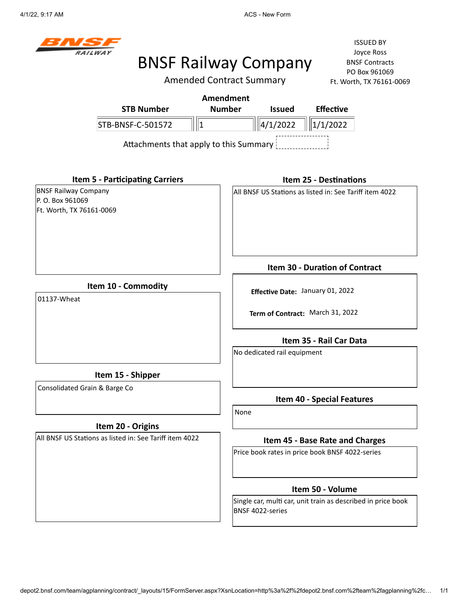4/1/22, 9:17 AM **ACS** - New Form



# BNSF Railway Company

Amended Contract Summary

ISSUED BY Joyce Ross BNSF Contracts PO Box 961069 Ft. Worth, TX 76161-0069

|                                        | Amendment     |                               |                  |
|----------------------------------------|---------------|-------------------------------|------------------|
| <b>STB Number</b>                      | <b>Number</b> | <b>Issued</b>                 | <b>Effective</b> |
| STB-BNSF-C-501572                      |               | $\ \ 4/1/2022\  \ 1/1/2022\ $ |                  |
| Attachments that apply to this Summary |               |                               |                  |

**Item 5 - Participating Carriers**

BNSF Railway Company P. O. Box 961069 Ft. Worth, TX 76161-0069

#### **Item 25 - Destinations**

All BNSF US Stations as listed in: See Tariff item 4022

**Item 10 - Commodity**

01137-Wheat

**Term of Contract:** March 31, 2022

**Effective Date:** January 01, 2022

**Item 35 - Rail Car Data**

**Item 30 - Duration of Contract**

No dedicated rail equipment

**Item 15 - Shipper**

Consolidated Grain & Barge Co

## **Item 20 - Origins**

All BNSF US Stations as listed in: See Tariff item 4022

**Item 40 - Special Features**

None

### **Item 45 - Base Rate and Charges**

Price book rates in price book BNSF 4022-series

### **Item 50 - Volume**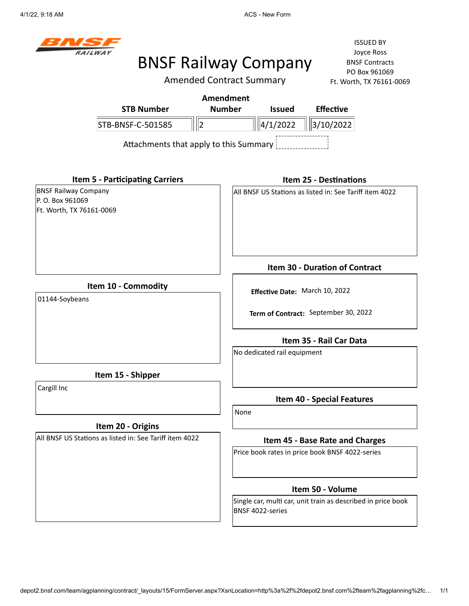

## BNSF Railway Company

Amended Contract Summary

ISSUED BY Joyce Ross BNSF Contracts PO Box 961069 Ft. Worth, TX 76161-0069

|                                        | Amendment                              |               |                                                          |
|----------------------------------------|----------------------------------------|---------------|----------------------------------------------------------|
| <b>STB Number</b>                      | <b>Number</b>                          | <b>Issued</b> | <b>Effective</b>                                         |
| STB-BNSF-C-501585                      |                                        | 4/1/2022      | 3/10/2022                                                |
|                                        | Attachments that apply to this Summary |               |                                                          |
| <b>Item 5 - Participating Carriers</b> |                                        |               | Item 25 - Destinations                                   |
| <b>BNSF Railway Company</b>            |                                        |               | IAII BNSF US Stations as listed in: See Tariff item 4022 |

**Item 10 - Commodity**

01144-Soybeans

P. O. Box 961069

Ft. Worth, TX 76161-0069

**Item 30 - Duration of Contract**

**Effective Date:** March 10, 2022 **Term of Contract:** September 30, 2022

**Item 35 - Rail Car Data**

No dedicated rail equipment

**Item 15 - Shipper**

Cargill Inc

## **Item 20 - Origins**

All BNSF US Stations as listed in: See Tariff item 4022

**Item 40 - Special Features**

None

### **Item 45 - Base Rate and Charges**

Price book rates in price book BNSF 4022-series

### **Item 50 - Volume**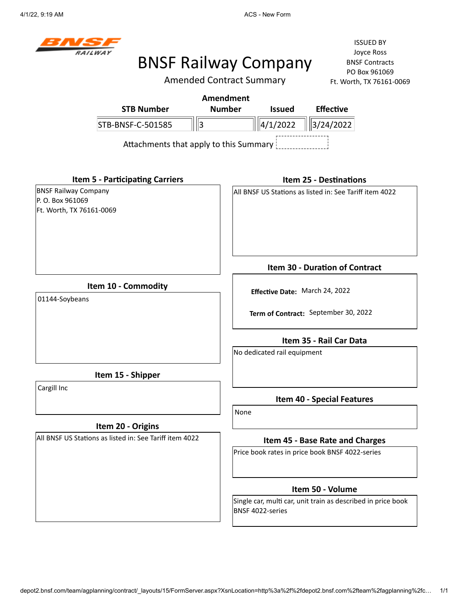

## BNSF Railway Company

Amended Contract Summary

ISSUED BY Joyce Ross BNSF Contracts PO Box 961069 Ft. Worth, TX 76161-0069

| <b>STB Number</b>                               | Amendment<br><b>Number</b> | <b>Issued</b> | <b>Effective</b>                                         |
|-------------------------------------------------|----------------------------|---------------|----------------------------------------------------------|
| STB-BNSF-C-501585                               | 3                          | 4/1/2022      | 3/24/2022                                                |
| Attachments that apply to this Summary          |                            |               |                                                          |
| <b>Item 5 - Participating Carriers</b>          |                            |               | <b>Item 25 - Destinations</b>                            |
| <b>BNSF Railway Company</b><br>P. O. Box 961069 |                            |               | IAII BNSF US Stations as listed in: See Tariff item 4022 |

**Item 10 - Commodity**

01144-Soybeans

Ft. Worth, TX 76161-0069

**Item 30 - Duration of Contract**

**Effective Date:** March 24, 2022

**Term of Contract:** September 30, 2022

**Item 35 - Rail Car Data**

No dedicated rail equipment

**Item 15 - Shipper**

Cargill Inc

## **Item 20 - Origins**

All BNSF US Stations as listed in: See Tariff item 4022

**Item 40 - Special Features**

None

### **Item 45 - Base Rate and Charges**

Price book rates in price book BNSF 4022-series

### **Item 50 - Volume**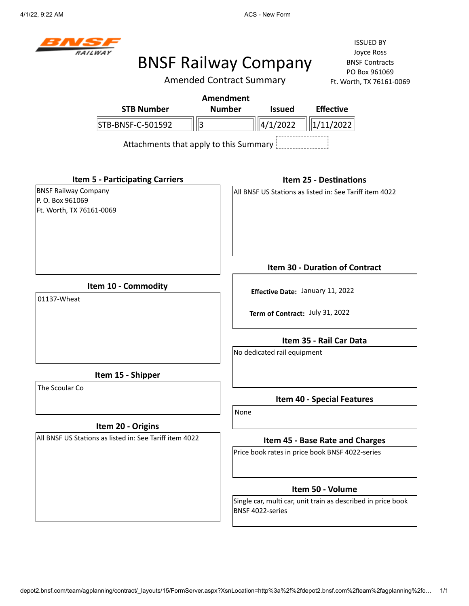4/1/22, 9:22 AM **ACS** - New Form



## BNSF Railway Company

Amended Contract Summary

ISSUED BY Joyce Ross BNSF Contracts PO Box 961069 Ft. Worth, TX 76161-0069

|                   | Amendment                              |                |                  |
|-------------------|----------------------------------------|----------------|------------------|
| <b>STB Number</b> | <b>Number</b>                          | <b>Issued</b>  | <b>Effective</b> |
| STB-BNSF-C-501592 | 3                                      | $\ 4/1/2022\ $ | $\ 1/11/2022\ $  |
|                   | Attachments that apply to this Summary |                |                  |
|                   |                                        |                |                  |
|                   |                                        |                |                  |

**Item 5 - Participating Carriers** BNSF Railway Company

P. O. Box 961069 Ft. Worth, TX 76161-0069

#### **Item 25 - Destinations**

All BNSF US Stations as listed in: See Tariff item 4022

**Item 10 - Commodity**

01137-Wheat

**Term of Contract:** July 31, 2022

**Effective Date:** January 11, 2022

**Item 35 - Rail Car Data**

**Item 30 - Duration of Contract**

No dedicated rail equipment

**Item 15 - Shipper**

The Scoular Co

## **Item 20 - Origins**

All BNSF US Stations as listed in: See Tariff item 4022

**Item 40 - Special Features**

None

### **Item 45 - Base Rate and Charges**

Price book rates in price book BNSF 4022-series

### **Item 50 - Volume**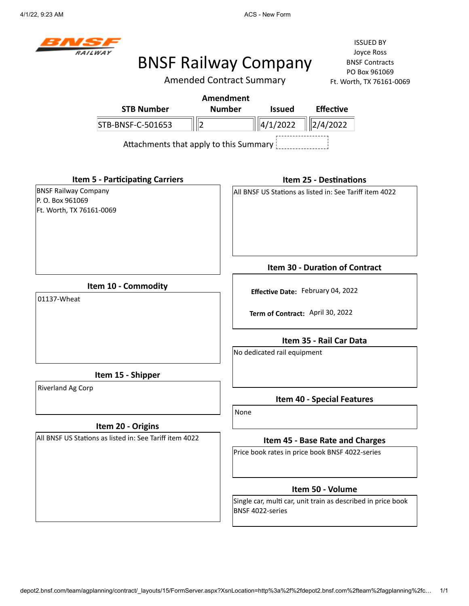4/1/22, 9:23 AM ACS - New Form



## BNSF Railway Company

Amended Contract Summary

ISSUED BY Joyce Ross BNSF Contracts PO Box 961069 Ft. Worth, TX 76161-0069

|                                                 |                                          |   | Amendment     |                                                         |                                       |  |
|-------------------------------------------------|------------------------------------------|---|---------------|---------------------------------------------------------|---------------------------------------|--|
|                                                 | <b>STB Number</b>                        |   | <b>Number</b> | <b>Issued</b>                                           | <b>Effective</b>                      |  |
|                                                 | STB-BNSF-C-501653                        | 2 |               | 4/1/2022                                                | 2/4/2022                              |  |
|                                                 | Attachments that apply to this Summary ! |   |               |                                                         |                                       |  |
|                                                 | <b>Item 5 - Participating Carriers</b>   |   |               |                                                         | <b>Item 25 - Destinations</b>         |  |
| <b>BNSF Railway Company</b><br>P. O. Box 961069 |                                          |   |               | All BNSF US Stations as listed in: See Tariff item 4022 |                                       |  |
| Ft. Worth, TX 76161-0069                        |                                          |   |               |                                                         |                                       |  |
|                                                 |                                          |   |               |                                                         | <b>Item 30 - Duration of Contract</b> |  |
|                                                 | Item 10 - Commodity                      |   |               | Effective Date: February 04, 2022                       |                                       |  |
| 01137-Wheat                                     |                                          |   |               | Term of Contract: April 30, 2022                        |                                       |  |
|                                                 |                                          |   |               |                                                         | Item 35 - Rail Car Data               |  |

**Item 15 - Shipper**

Riverland Ag Corp

## **Item 20 - Origins**

All BNSF US Stations as listed in: See Tariff item 4022

**Item 40 - Special Features**

None

No dedicated rail equipment

### **Item 45 - Base Rate and Charges**

Price book rates in price book BNSF 4022-series

## **Item 50 - Volume**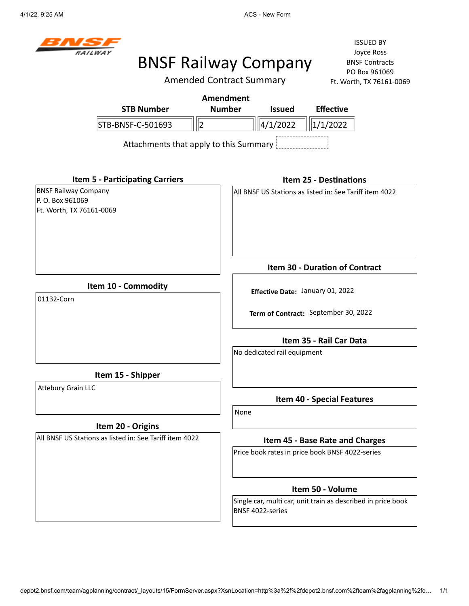4/1/22, 9:25 AM ACS - New Form



## BNSF Railway Company

Amended Contract Summary

ISSUED BY Joyce Ross BNSF Contracts PO Box 961069 POC

|                                                                            | <b>Amended Contract Summary</b> | Ft. Worth, TX 76161-0069                                     |
|----------------------------------------------------------------------------|---------------------------------|--------------------------------------------------------------|
|                                                                            | <b>Amendment</b>                |                                                              |
| <b>STB Number</b>                                                          | <b>Number</b><br><b>Issued</b>  | <b>Effective</b>                                             |
| $\ 2$<br>STB-BNSF-C-501693                                                 | 4/1/2022                        | 1/1/2022                                                     |
| Attachments that apply to this Summary                                     |                                 |                                                              |
| <b>Item 5 - Participating Carriers</b>                                     |                                 | <b>Item 25 - Destinations</b>                                |
| <b>BNSF Railway Company</b><br>P.O. Box 961069<br>Ft. Worth, TX 76161-0069 |                                 | All BNSF US Stations as listed in: See Tariff item 4022      |
|                                                                            |                                 | Item 30 - Duration of Contract                               |
| Item 10 - Commodity<br>01132-Corn                                          |                                 | Effective Date: January 01, 2022                             |
|                                                                            |                                 | Term of Contract: September 30, 2022                         |
|                                                                            | No dedicated rail equipment     | Item 35 - Rail Car Data                                      |
| Item 15 - Shipper                                                          |                                 |                                                              |
| <b>Attebury Grain LLC</b>                                                  | None                            | <b>Item 40 - Special Features</b>                            |
| Item 20 - Origins                                                          |                                 |                                                              |
| All BNSF US Stations as listed in: See Tariff item 4022                    |                                 | Item 45 - Base Rate and Charges                              |
|                                                                            |                                 | Price book rates in price book BNSF 4022-series              |
|                                                                            |                                 | Item 50 - Volume                                             |
|                                                                            | BNSF 4022-series                | Single car, multi car, unit train as described in price book |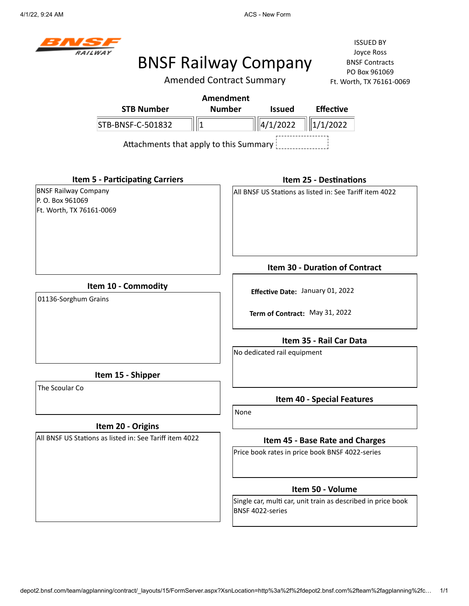4/1/22, 9:24 AM **ACS** - New Form



## BNSF Railway Company

Amended Contract Summary

ISSUED BY Joyce Ross BNSF Contracts PO Box 961069 Ft. Worth, TX 76161-0069

|                                        | Amendment     |                       |                  |
|----------------------------------------|---------------|-----------------------|------------------|
| <b>STB Number</b>                      | <b>Number</b> | <b>Issued</b>         | <b>Effective</b> |
| STB-BNSF-C-501832                      |               | $\frac{1}{4}$ /1/2022 | $\ \ 1/1/2022\ $ |
| Attachments that apply to this Summary |               |                       |                  |
|                                        |               |                       |                  |
|                                        |               |                       |                  |

BNSF Railway Company P. O. Box 961069 Ft. Worth, TX 76161-0069

#### **Item 25 - Destinations**

All BNSF US Stations as listed in: See Tariff item 4022

**Item 10 - Commodity**

**Item 5 - Participating Carriers**

01136-Sorghum Grains

**Effective Date:** January 01, 2022

**Term of Contract:** May 31, 2022

**Item 35 - Rail Car Data**

**Item 30 - Duration of Contract**

No dedicated rail equipment

**Item 15 - Shipper**

The Scoular Co

## **Item 20 - Origins**

All BNSF US Stations as listed in: See Tariff item 4022

**Item 40 - Special Features**

None

### **Item 45 - Base Rate and Charges**

Price book rates in price book BNSF 4022-series

### **Item 50 - Volume**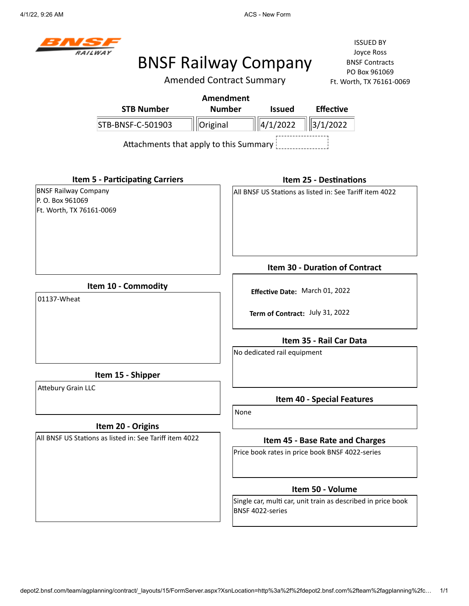4/1/22, 9:26 AM ACS - New Form



## BNSF Railway Company

Amended Contract Summary

|                                                                             |                                        | <b>Amendment</b> |                                                         |                                 |                                                              |  |
|-----------------------------------------------------------------------------|----------------------------------------|------------------|---------------------------------------------------------|---------------------------------|--------------------------------------------------------------|--|
|                                                                             | <b>STB Number</b>                      | <b>Number</b>    |                                                         | <b>Issued</b>                   | <b>Effective</b>                                             |  |
|                                                                             | STB-BNSF-C-501903                      | Original         |                                                         | 4/1/2022                        | 3/1/2022                                                     |  |
|                                                                             | Attachments that apply to this Summary |                  |                                                         |                                 |                                                              |  |
|                                                                             | <b>Item 5 - Participating Carriers</b> |                  |                                                         |                                 | <b>Item 25 - Destinations</b>                                |  |
| <b>BNSF Railway Company</b><br>P. O. Box 961069<br>Ft. Worth, TX 76161-0069 |                                        |                  | All BNSF US Stations as listed in: See Tariff item 4022 |                                 |                                                              |  |
|                                                                             |                                        |                  |                                                         |                                 | <b>Item 30 - Duration of Contract</b>                        |  |
| Item 10 - Commodity<br>01137-Wheat                                          |                                        |                  | Effective Date: March 01, 2022                          |                                 |                                                              |  |
|                                                                             |                                        |                  |                                                         | Term of Contract: July 31, 2022 |                                                              |  |
|                                                                             |                                        |                  |                                                         |                                 | Item 35 - Rail Car Data                                      |  |
|                                                                             |                                        |                  |                                                         | No dedicated rail equipment     |                                                              |  |
|                                                                             | Item 15 - Shipper                      |                  |                                                         |                                 |                                                              |  |
| <b>Attebury Grain LLC</b>                                                   |                                        |                  |                                                         |                                 | <b>Item 40 - Special Features</b>                            |  |
|                                                                             |                                        |                  | None                                                    |                                 |                                                              |  |
|                                                                             | Item 20 - Origins                      |                  |                                                         |                                 |                                                              |  |
| All BNSF US Stations as listed in: See Tariff item 4022                     |                                        |                  |                                                         |                                 | Item 45 - Base Rate and Charges                              |  |
|                                                                             |                                        |                  |                                                         |                                 | Price book rates in price book BNSF 4022-series              |  |
|                                                                             |                                        |                  |                                                         |                                 | Item 50 - Volume                                             |  |
|                                                                             |                                        |                  |                                                         | BNSF 4022-series                | Single car, multi car, unit train as described in price book |  |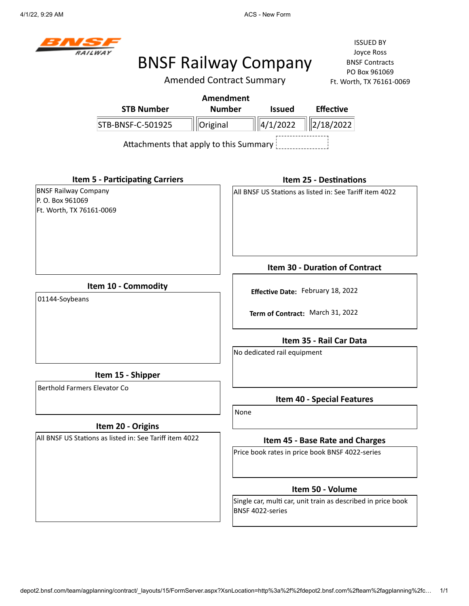

## BNSF Railway Company

Amended Contract Summary

| <b>STB Number</b>                                                          | <b>Amendment</b><br><b>Number</b><br><b>Effective</b><br><b>Issued</b>           |
|----------------------------------------------------------------------------|----------------------------------------------------------------------------------|
| STB-BNSF-C-501925                                                          | $\ 4/1/2022\ $<br>2/18/2022<br>Original                                          |
|                                                                            | Attachments that apply to this Summary                                           |
| <b>Item 5 - Participating Carriers</b>                                     | <b>Item 25 - Destinations</b>                                                    |
| <b>BNSF Railway Company</b><br>P.O. Box 961069<br>Ft. Worth, TX 76161-0069 | All BNSF US Stations as listed in: See Tariff item 4022                          |
|                                                                            | <b>Item 30 - Duration of Contract</b>                                            |
| Item 10 - Commodity<br>01144-Soybeans                                      | Effective Date: February 18, 2022                                                |
|                                                                            | Term of Contract: March 31, 2022                                                 |
|                                                                            | Item 35 - Rail Car Data                                                          |
|                                                                            | No dedicated rail equipment                                                      |
| Item 15 - Shipper                                                          |                                                                                  |
| Berthold Farmers Elevator Co                                               | <b>Item 40 - Special Features</b>                                                |
|                                                                            | None                                                                             |
| Item 20 - Origins                                                          |                                                                                  |
| All BNSF US Stations as listed in: See Tariff item 4022                    | Item 45 - Base Rate and Charges                                                  |
|                                                                            | Price book rates in price book BNSF 4022-series                                  |
|                                                                            | Item 50 - Volume                                                                 |
|                                                                            | Single car, multi car, unit train as described in price book<br>BNSF 4022-series |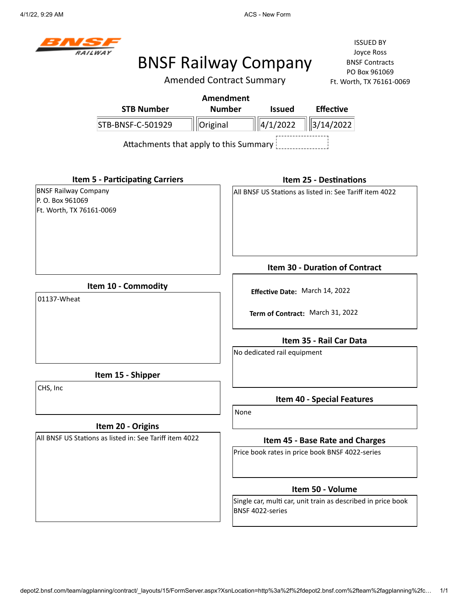

## BNSF Railway Company

Amended Contract Summary

|                                                                             |                                                         | <b>Amendment</b>                                                   |                                                         |                                                              |  |  |  |
|-----------------------------------------------------------------------------|---------------------------------------------------------|--------------------------------------------------------------------|---------------------------------------------------------|--------------------------------------------------------------|--|--|--|
|                                                                             | <b>STB Number</b>                                       | <b>Number</b>                                                      | <b>Issued</b>                                           | <b>Effective</b>                                             |  |  |  |
|                                                                             | STB-BNSF-C-501929                                       | Original                                                           | 4/1/2022                                                | 3/14/2022                                                    |  |  |  |
|                                                                             | Attachments that apply to this Summary                  |                                                                    |                                                         |                                                              |  |  |  |
|                                                                             | <b>Item 5 - Participating Carriers</b>                  |                                                                    |                                                         | <b>Item 25 - Destinations</b>                                |  |  |  |
| <b>BNSF Railway Company</b><br>P. O. Box 961069<br>Ft. Worth, TX 76161-0069 |                                                         |                                                                    | All BNSF US Stations as listed in: See Tariff item 4022 |                                                              |  |  |  |
|                                                                             |                                                         |                                                                    |                                                         | Item 30 - Duration of Contract                               |  |  |  |
| 01137-Wheat                                                                 | Item 10 - Commodity                                     | Effective Date: March 14, 2022<br>Term of Contract: March 31, 2022 |                                                         |                                                              |  |  |  |
|                                                                             |                                                         |                                                                    | No dedicated rail equipment                             | Item 35 - Rail Car Data                                      |  |  |  |
|                                                                             | Item 15 - Shipper                                       |                                                                    |                                                         |                                                              |  |  |  |
| CHS, Inc                                                                    |                                                         |                                                                    |                                                         | <b>Item 40 - Special Features</b>                            |  |  |  |
|                                                                             | Item 20 - Origins                                       | None                                                               |                                                         |                                                              |  |  |  |
|                                                                             | All BNSF US Stations as listed in: See Tariff item 4022 |                                                                    | Item 45 - Base Rate and Charges                         |                                                              |  |  |  |
|                                                                             |                                                         |                                                                    |                                                         | Price book rates in price book BNSF 4022-series              |  |  |  |
|                                                                             |                                                         |                                                                    |                                                         | Item 50 - Volume                                             |  |  |  |
|                                                                             |                                                         |                                                                    | BNSF 4022-series                                        | Single car, multi car, unit train as described in price book |  |  |  |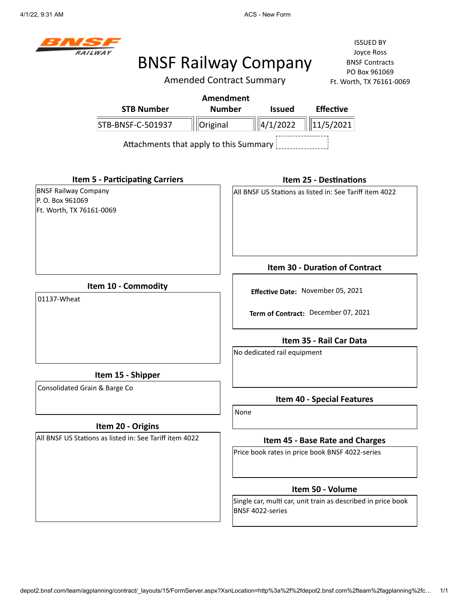4/1/22, 9:31 AM ACS - New Form



# BNSF Railway Company

Amended Contract Summary

|                               |                                                         | <b>Amendment</b> |                                   |                             |                                                              |  |
|-------------------------------|---------------------------------------------------------|------------------|-----------------------------------|-----------------------------|--------------------------------------------------------------|--|
|                               | <b>STB Number</b>                                       | <b>Number</b>    |                                   | <b>Issued</b>               | <b>Effective</b>                                             |  |
|                               | STB-BNSF-C-501937                                       | Original         |                                   | 4/1/2022                    | 11/5/2021                                                    |  |
|                               | Attachments that apply to this Summary                  |                  |                                   |                             |                                                              |  |
|                               | <b>Item 5 - Participating Carriers</b>                  |                  |                                   |                             | <b>Item 25 - Destinations</b>                                |  |
| <b>BNSF Railway Company</b>   |                                                         |                  |                                   |                             | All BNSF US Stations as listed in: See Tariff item 4022      |  |
| P. O. Box 961069              |                                                         |                  |                                   |                             |                                                              |  |
| Ft. Worth, TX 76161-0069      |                                                         |                  |                                   |                             |                                                              |  |
|                               |                                                         |                  |                                   |                             | Item 30 - Duration of Contract                               |  |
|                               | Item 10 - Commodity                                     |                  |                                   |                             |                                                              |  |
| 01137-Wheat                   |                                                         |                  | Effective Date: November 05, 2021 |                             |                                                              |  |
|                               |                                                         |                  |                                   |                             | Term of Contract: December 07, 2021                          |  |
|                               |                                                         |                  |                                   |                             | Item 35 - Rail Car Data                                      |  |
|                               |                                                         |                  |                                   | No dedicated rail equipment |                                                              |  |
|                               | Item 15 - Shipper                                       |                  |                                   |                             |                                                              |  |
| Consolidated Grain & Barge Co |                                                         |                  |                                   |                             | <b>Item 40 - Special Features</b>                            |  |
|                               |                                                         |                  | None                              |                             |                                                              |  |
|                               | Item 20 - Origins                                       |                  |                                   |                             |                                                              |  |
|                               | All BNSF US Stations as listed in: See Tariff item 4022 |                  |                                   |                             | Item 45 - Base Rate and Charges                              |  |
|                               |                                                         |                  |                                   |                             | Price book rates in price book BNSF 4022-series              |  |
|                               |                                                         |                  |                                   |                             | Item 50 - Volume                                             |  |
|                               |                                                         |                  |                                   | BNSF 4022-series            | Single car, multi car, unit train as described in price book |  |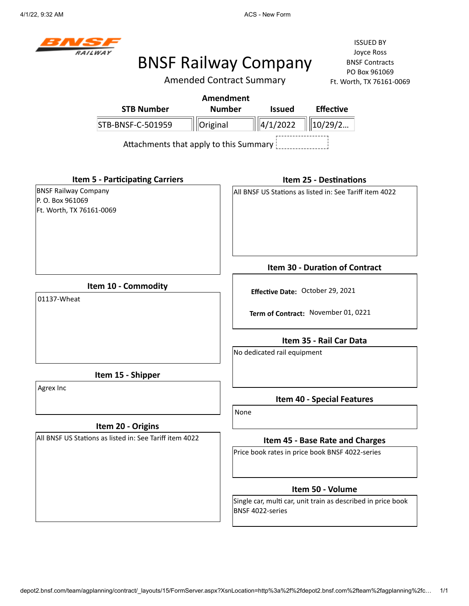

## BNSF Railway Company

Amended Contract Summary

|                                                                             |                                        | <b>Amendment</b> |                                                                         |                             |                                                 |                                                              |  |
|-----------------------------------------------------------------------------|----------------------------------------|------------------|-------------------------------------------------------------------------|-----------------------------|-------------------------------------------------|--------------------------------------------------------------|--|
|                                                                             | <b>STB Number</b>                      | <b>Number</b>    |                                                                         | <b>Issued</b>               | <b>Effective</b>                                |                                                              |  |
|                                                                             | STB-BNSF-C-501959                      | Original         |                                                                         | $\ 4/1/2022\ $              | 10/29/2                                         |                                                              |  |
|                                                                             | Attachments that apply to this Summary |                  |                                                                         |                             |                                                 |                                                              |  |
|                                                                             | <b>Item 5 - Participating Carriers</b> |                  |                                                                         |                             | <b>Item 25 - Destinations</b>                   |                                                              |  |
| <b>BNSF Railway Company</b><br>P. O. Box 961069<br>Ft. Worth, TX 76161-0069 |                                        |                  | All BNSF US Stations as listed in: See Tariff item 4022                 |                             |                                                 |                                                              |  |
|                                                                             |                                        |                  |                                                                         |                             | Item 30 - Duration of Contract                  |                                                              |  |
| Item 10 - Commodity<br>01137-Wheat                                          |                                        |                  | Effective Date: October 29, 2021<br>Term of Contract: November 01, 0221 |                             |                                                 |                                                              |  |
|                                                                             |                                        |                  |                                                                         | No dedicated rail equipment | Item 35 - Rail Car Data                         |                                                              |  |
|                                                                             | Item 15 - Shipper                      |                  |                                                                         |                             |                                                 |                                                              |  |
| Agrex Inc                                                                   |                                        |                  | None                                                                    |                             | <b>Item 40 - Special Features</b>               |                                                              |  |
|                                                                             | Item 20 - Origins                      |                  |                                                                         |                             |                                                 |                                                              |  |
| All BNSF US Stations as listed in: See Tariff item 4022                     |                                        |                  | Item 45 - Base Rate and Charges                                         |                             |                                                 |                                                              |  |
|                                                                             |                                        |                  |                                                                         |                             | Price book rates in price book BNSF 4022-series |                                                              |  |
|                                                                             |                                        |                  |                                                                         |                             | Item 50 - Volume                                |                                                              |  |
|                                                                             |                                        |                  |                                                                         | BNSF 4022-series            |                                                 | Single car, multi car, unit train as described in price book |  |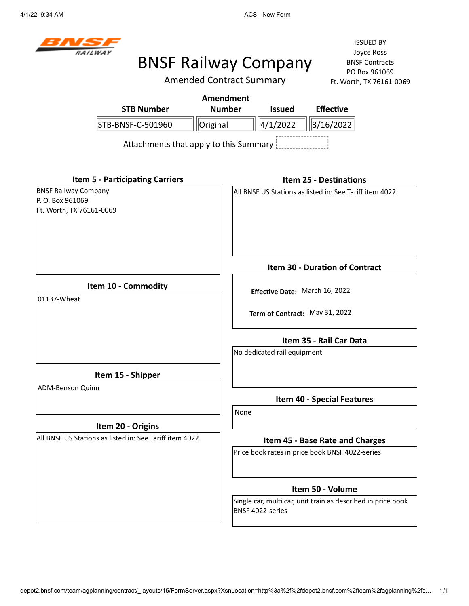4/1/22, 9:34 AM ACS - New Form



## BNSF Railway Company

Amended Contract Summary

ISSUED BY Joyce Ross BNSF Contracts PO Box 961069 Ft. Worth, TX 76161-0069

|                                                                             |                                                         | <b>Amendment</b> |                                 |                                |                                                              |  |
|-----------------------------------------------------------------------------|---------------------------------------------------------|------------------|---------------------------------|--------------------------------|--------------------------------------------------------------|--|
|                                                                             | <b>STB Number</b>                                       | <b>Number</b>    |                                 | <b>Issued</b>                  | <b>Effective</b>                                             |  |
|                                                                             | STB-BNSF-C-501960                                       | Original         |                                 | 4/1/2022                       | 3/16/2022                                                    |  |
|                                                                             | Attachments that apply to this Summary                  |                  |                                 |                                |                                                              |  |
|                                                                             | <b>Item 5 - Participating Carriers</b>                  |                  |                                 |                                | <b>Item 25 - Destinations</b>                                |  |
| <b>BNSF Railway Company</b><br>P. O. Box 961069<br>Ft. Worth, TX 76161-0069 |                                                         |                  |                                 |                                | All BNSF US Stations as listed in: See Tariff item 4022      |  |
|                                                                             |                                                         |                  |                                 |                                | Item 30 - Duration of Contract                               |  |
| 01137-Wheat                                                                 | Item 10 - Commodity                                     |                  | Effective Date: March 16, 2022  |                                |                                                              |  |
|                                                                             |                                                         |                  |                                 | Term of Contract: May 31, 2022 |                                                              |  |
|                                                                             |                                                         |                  |                                 |                                | Item 35 - Rail Car Data                                      |  |
|                                                                             |                                                         |                  |                                 | No dedicated rail equipment    |                                                              |  |
|                                                                             | Item 15 - Shipper                                       |                  |                                 |                                |                                                              |  |
| ADM-Benson Quinn                                                            |                                                         |                  |                                 |                                | <b>Item 40 - Special Features</b>                            |  |
|                                                                             |                                                         |                  | None                            |                                |                                                              |  |
|                                                                             | Item 20 - Origins                                       |                  |                                 |                                |                                                              |  |
|                                                                             | All BNSF US Stations as listed in: See Tariff item 4022 |                  | Item 45 - Base Rate and Charges |                                |                                                              |  |
|                                                                             |                                                         |                  |                                 |                                | Price book rates in price book BNSF 4022-series              |  |
|                                                                             |                                                         |                  |                                 |                                | Item 50 - Volume                                             |  |
|                                                                             |                                                         |                  |                                 | BNSF 4022-series               | Single car, multi car, unit train as described in price book |  |

depot2.bnsf.com/team/agplanning/contract/\_layouts/15/FormServer.aspx?XsnLocation=http%3a%2f%2fdepot2.bnsf.com%2fteam%2fagplanning%2fc… 1/1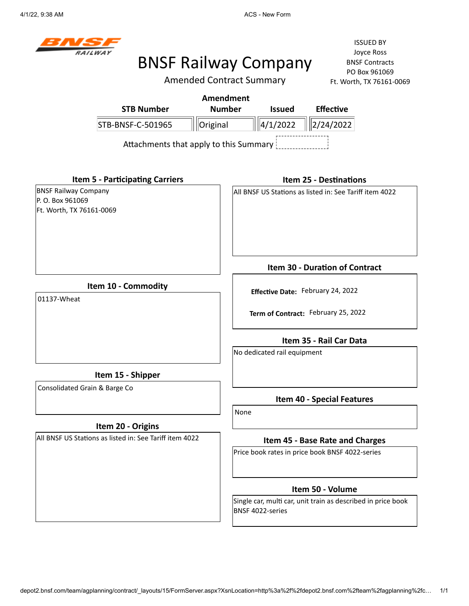4/1/22, 9:38 AM **ACS - New Form ACS** - New Form



# BNSF Railway Company

Amended Contract Summary

|                                                                             |                                                         | <b>Amendment</b> |                                                 |                                                              |  |  |
|-----------------------------------------------------------------------------|---------------------------------------------------------|------------------|-------------------------------------------------|--------------------------------------------------------------|--|--|
|                                                                             | <b>STB Number</b>                                       | <b>Number</b>    | <b>Issued</b>                                   | <b>Effective</b>                                             |  |  |
|                                                                             | STB-BNSF-C-501965                                       | Original         | 4/1/2022                                        | 2/24/2022                                                    |  |  |
|                                                                             | Attachments that apply to this Summary                  |                  |                                                 |                                                              |  |  |
|                                                                             | <b>Item 5 - Participating Carriers</b>                  |                  |                                                 | <b>Item 25 - Destinations</b>                                |  |  |
| <b>BNSF Railway Company</b><br>P. O. Box 961069<br>Ft. Worth, TX 76161-0069 |                                                         |                  |                                                 | All BNSF US Stations as listed in: See Tariff item 4022      |  |  |
|                                                                             |                                                         |                  |                                                 | Item 30 - Duration of Contract                               |  |  |
|                                                                             | Item 10 - Commodity                                     |                  |                                                 |                                                              |  |  |
| 01137-Wheat                                                                 |                                                         |                  | Effective Date: February 24, 2022               |                                                              |  |  |
|                                                                             |                                                         |                  |                                                 | Term of Contract: February 25, 2022                          |  |  |
|                                                                             |                                                         |                  |                                                 | Item 35 - Rail Car Data                                      |  |  |
|                                                                             |                                                         |                  | No dedicated rail equipment                     |                                                              |  |  |
|                                                                             | Item 15 - Shipper                                       |                  |                                                 |                                                              |  |  |
| Consolidated Grain & Barge Co                                               |                                                         |                  |                                                 |                                                              |  |  |
|                                                                             |                                                         |                  |                                                 | Item 40 - Special Features                                   |  |  |
|                                                                             | Item 20 - Origins                                       |                  | None                                            |                                                              |  |  |
|                                                                             | All BNSF US Stations as listed in: See Tariff item 4022 |                  |                                                 | Item 45 - Base Rate and Charges                              |  |  |
|                                                                             |                                                         |                  | Price book rates in price book BNSF 4022-series |                                                              |  |  |
|                                                                             |                                                         |                  |                                                 | Item 50 - Volume                                             |  |  |
|                                                                             |                                                         |                  | BNSF 4022-series                                | Single car, multi car, unit train as described in price book |  |  |